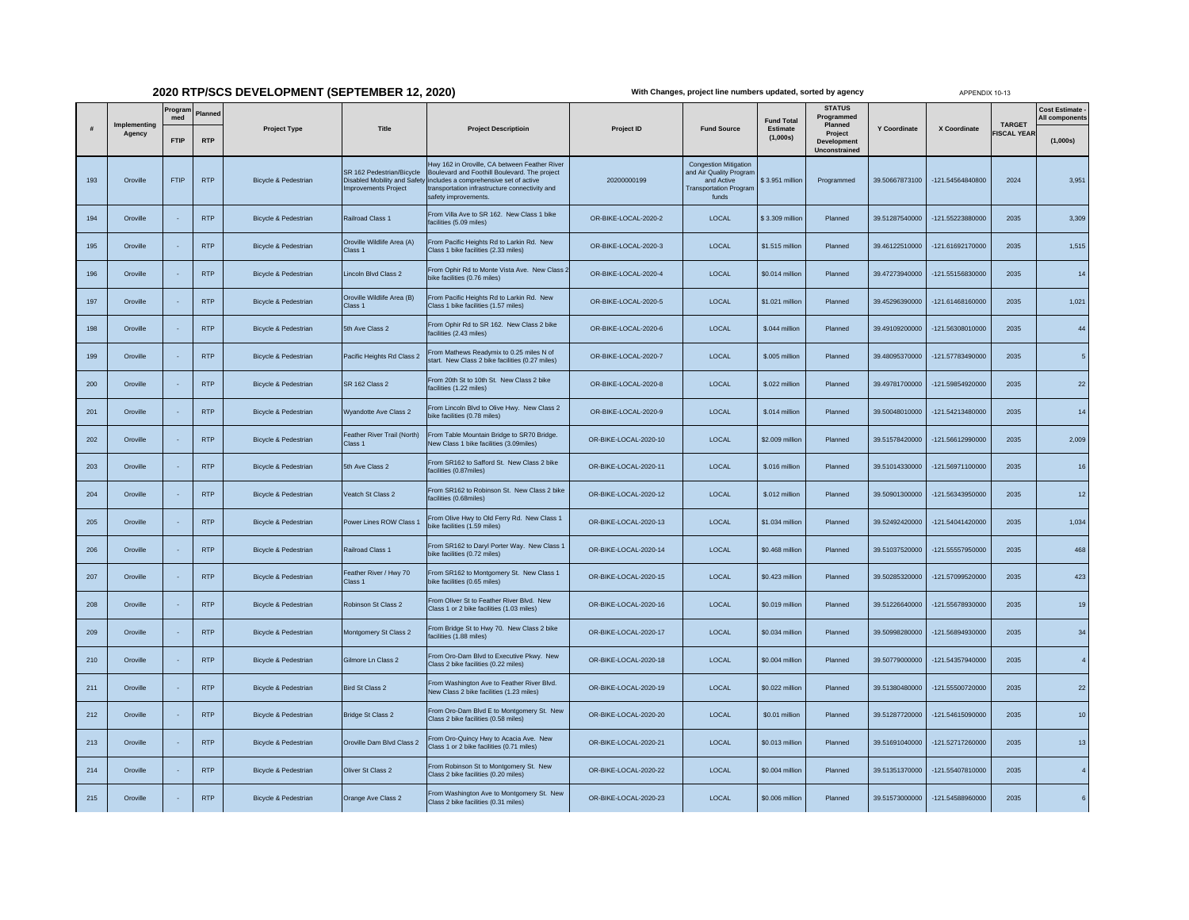## **2020 RTP/SCS DEVELOPMENT (SEPTEMBER 12, 2020)**

**With Changes, project line numbers updated, sorted by agency**

APPENDIX 10-13

|     |                        | Prograr            |                       |                                 |                                                          |                                                                                                                                                                                                                                                 |                       |                                                                                                                 |                                           | <b>STATUS</b>                                          |                     |                  |                                     | Cost Estimate -            |
|-----|------------------------|--------------------|-----------------------|---------------------------------|----------------------------------------------------------|-------------------------------------------------------------------------------------------------------------------------------------------------------------------------------------------------------------------------------------------------|-----------------------|-----------------------------------------------------------------------------------------------------------------|-------------------------------------------|--------------------------------------------------------|---------------------|------------------|-------------------------------------|----------------------------|
|     | Implementina<br>Agency | med<br><b>FTIP</b> | Planned<br><b>RTP</b> | <b>Project Type</b>             | Title                                                    | <b>Project Descriptioin</b>                                                                                                                                                                                                                     | Project ID            | <b>Fund Source</b>                                                                                              | <b>Fund Total</b><br>Estimate<br>(1,000s) | Programmed<br>Planned<br>Project<br><b>Development</b> | <b>Y Coordinate</b> | X Coordinate     | <b>TARGET</b><br><b>FISCAL YEAR</b> | All components<br>(1,000s) |
| 193 | Oroville               | FTIP               | <b>RTP</b>            | Bicycle & Pedestrian            | SR 162 Pedestrian/Bicycle<br><b>Improvements Project</b> | twy 162 in Oroville, CA between Feather River<br>Boulevard and Foothill Boulevard. The project<br>Disabled Mobility and Safety includes a comprehensive set of active<br>transportation infrastructure connectivity and<br>safety improvements. | 20200000199           | <b>Congestion Mitigation</b><br>and Air Quality Program<br>and Active<br><b>Transportation Program</b><br>funds | \$3.951 million                           | Unconstrained<br>Programmed                            | 39.50667873100      | -121.54564840800 | 2024                                | 3,951                      |
| 194 | Oroville               |                    | <b>RTP</b>            | Bicycle & Pedestrian            | Railroad Class 1                                         | From Villa Ave to SR 162. New Class 1 bike<br>facilities (5.09 miles)                                                                                                                                                                           | OR-BIKE-LOCAL-2020-2  | LOCAL                                                                                                           | \$3.309 million                           | Planned                                                | 39.51287540000      | -121.55223880000 | 2035                                | 3,309                      |
| 195 | Oroville               |                    | <b>RTP</b>            | Bicycle & Pedestrian            | Oroville Wildlife Area (A)<br>Class <sub>1</sub>         | From Pacific Heights Rd to Larkin Rd. New<br>Class 1 bike facilities (2.33 miles)                                                                                                                                                               | OR-BIKE-LOCAL-2020-3  | LOCAL                                                                                                           | \$1,515 million                           | Planned                                                | 39.46122510000      | -121.61692170000 | 2035                                | 1,515                      |
| 196 | Oroville               |                    | <b>RTP</b>            | <b>Bicycle &amp; Pedestrian</b> | Lincoln Blvd Class 2                                     | From Ophir Rd to Monte Vista Ave. New Class 2<br>bike facilities (0.76 miles)                                                                                                                                                                   | OR-BIKE-LOCAL-2020-4  | LOCAL                                                                                                           | \$0.014 million                           | Planned                                                | 39.47273940000      | -121.55156830000 | 2035                                | 14                         |
| 197 | Oroville               |                    | <b>RTP</b>            | Bicycle & Pedestrian            | Oroville Wildlife Area (B)<br>Class 1                    | From Pacific Heights Rd to Larkin Rd. New<br>Class 1 bike facilities (1.57 miles)                                                                                                                                                               | OR-BIKE-LOCAL-2020-5  | LOCAL                                                                                                           | \$1.021 million                           | Planned                                                | 39.45296390000      | -121.61468160000 | 2035                                | 1,021                      |
| 198 | Oroville               |                    | <b>RTP</b>            | <b>Bicycle &amp; Pedestrian</b> | 5th Ave Class 2                                          | From Ophir Rd to SR 162. New Class 2 bike<br>facilities (2.43 miles)                                                                                                                                                                            | OR-BIKE-LOCAL-2020-6  | LOCAL                                                                                                           | \$.044 million                            | Planned                                                | 39.49109200000      | -121.56308010000 | 2035                                | 44                         |
| 199 | Oroville               |                    | <b>RTP</b>            | Bicycle & Pedestrian            | Pacific Heights Rd Class 2                               | From Mathews Readymix to 0.25 miles N of<br>start. New Class 2 bike facilities (0.27 miles)                                                                                                                                                     | OR-BIKE-LOCAL-2020-7  | LOCAL                                                                                                           | \$.005 million                            | Planned                                                | 39.48095370000      | -121.57783490000 | 2035                                | $\sqrt{5}$                 |
| 200 | Oroville               |                    | <b>RTP</b>            | <b>Bicycle &amp; Pedestrian</b> | SR 162 Class 2                                           | From 20th St to 10th St. New Class 2 bike<br>facilities (1.22 miles)                                                                                                                                                                            | OR-BIKE-LOCAL-2020-8  | LOCAL                                                                                                           | \$.022 million                            | Planned                                                | 39.49781700000      | -121.59854920000 | 2035                                | 22                         |
| 201 | Oroville               |                    | <b>RTP</b>            | Bicycle & Pedestrian            | Wyandotte Ave Class 2                                    | From Lincoln Blvd to Olive Hwy. New Class 2<br>bike facilities (0.78 miles)                                                                                                                                                                     | OR-BIKE-LOCAL-2020-9  | LOCAL                                                                                                           | \$.014 million                            | Planned                                                | 39.50048010000      | -121.54213480000 | 2035                                | 14                         |
| 202 | Oroville               |                    | <b>RTP</b>            | Bicycle & Pedestrian            | Feather River Trail (North)<br>Class 1                   | From Table Mountain Bridge to SR70 Bridge.<br>New Class 1 bike facilities (3.09miles)                                                                                                                                                           | OR-BIKE-LOCAL-2020-10 | LOCAL                                                                                                           | \$2.009 million                           | Planned                                                | 39.51578420000      | -121.56612990000 | 2035                                | 2,009                      |
| 203 | Oroville               |                    | <b>RTP</b>            | <b>Bicycle &amp; Pedestrian</b> | 5th Ave Class 2                                          | From SR162 to Safford St. New Class 2 bike<br>facilities (0.87miles)                                                                                                                                                                            | OR-BIKE-LOCAL-2020-11 | LOCAL                                                                                                           | \$.016 million                            | Planned                                                | 39.51014330000      | -121.56971100000 | 2035                                | 16                         |
| 204 | Oroville               |                    | <b>RTP</b>            | Bicycle & Pedestrian            | Veatch St Class 2                                        | From SR162 to Robinson St. New Class 2 bike<br>facilities (0.68miles)                                                                                                                                                                           | OR-BIKE-LOCAL-2020-12 | LOCAL                                                                                                           | \$.012 million                            | Planned                                                | 39.50901300000      | -121.56343950000 | 2035                                | $12$                       |
| 205 | Oroville               |                    | <b>RTP</b>            | Bicycle & Pedestrian            | Power Lines ROW Class 1                                  | From Olive Hwy to Old Ferry Rd. New Class 1<br>bike facilities (1.59 miles)                                                                                                                                                                     | OR-BIKE-LOCAL-2020-13 | LOCAL                                                                                                           | \$1,034 million                           | Planned                                                | 39.52492420000      | -121.54041420000 | 2035                                | 1,034                      |
| 206 | Oroville               |                    | <b>RTP</b>            | Bicycle & Pedestrian            | Railroad Class 1                                         | From SR162 to Daryl Porter Way. New Class 1<br>oike facilities (0.72 miles)                                                                                                                                                                     | OR-BIKE-LOCAL-2020-14 | LOCAL                                                                                                           | \$0.468 million                           | Planned                                                | 39.51037520000      | -121.55557950000 | 2035                                | 468                        |
| 207 | Oroville               |                    | <b>RTP</b>            | Bicycle & Pedestrian            | Feather River / Hwy 70<br>Class <sub>1</sub>             | From SR162 to Montgomery St. New Class 1<br>oike facilities (0.65 miles)                                                                                                                                                                        | OR-BIKE-LOCAL-2020-15 | LOCAL                                                                                                           | \$0.423 million                           | Planned                                                | 39.50285320000      | -121.57099520000 | 2035                                | 423                        |
| 208 | Oroville               |                    | <b>RTP</b>            | Bicycle & Pedestrian            | Robinson St Class 2                                      | From Oliver St to Feather River Blvd. New<br>Class 1 or 2 bike facilities (1.03 miles)                                                                                                                                                          | OR-BIKE-LOCAL-2020-16 | LOCAL                                                                                                           | \$0.019 million                           | Planned                                                | 39.51226640000      | -121.55678930000 | 2035                                | 19                         |
| 209 | Oroville               |                    | <b>RTP</b>            | Bicycle & Pedestrian            | Montgomery St Class 2                                    | From Bridge St to Hwy 70. New Class 2 bike<br>facilities (1.88 miles)                                                                                                                                                                           | OR-BIKE-LOCAL-2020-17 | LOCAL                                                                                                           | \$0.034 million                           | Planned                                                | 39.50998280000      | -121.56894930000 | 2035                                | 34                         |
| 210 | Oroville               |                    | <b>RTP</b>            | Bicycle & Pedestrian            | Gilmore Ln Class 2                                       | From Oro-Dam Blvd to Executive Pkwy. New<br>Class 2 bike facilities (0.22 miles)                                                                                                                                                                | OR-BIKE-LOCAL-2020-18 | LOCAL                                                                                                           | \$0.004 million                           | Planned                                                | 39.50779000000      | -121.54357940000 | 2035                                | $\sqrt{4}$                 |
| 211 | Oroville               |                    | <b>RTP</b>            | Bicycle & Pedestrian            | <b>Bird St Class 2</b>                                   | From Washington Ave to Feather River Blvd.<br>New Class 2 bike facilities (1.23 miles)                                                                                                                                                          | OR-BIKE-LOCAL-2020-19 | LOCAL                                                                                                           | \$0.022 million                           | Planned                                                | 39.51380480000      | -121.55500720000 | 2035                                | 22                         |
| 212 | Oroville               |                    | <b>RTP</b>            | <b>Bicycle &amp; Pedestrian</b> | <b>Bridge St Class 2</b>                                 | From Oro-Dam Blvd E to Montgomery St. New<br>Class 2 bike facilities (0.58 miles)                                                                                                                                                               | OR-BIKE-LOCAL-2020-20 | LOCAL                                                                                                           | \$0.01 million                            | Planned                                                | 39.51287720000      | -121.54615090000 | 2035                                | 10                         |
| 213 | Oroville               |                    | <b>RTP</b>            | Bicycle & Pedestrian            | Oroville Dam Blvd Class 2                                | From Oro-Quincy Hwy to Acacia Ave. New<br>Class 1 or 2 bike facilities (0.71 miles)                                                                                                                                                             | OR-BIKE-LOCAL-2020-21 | LOCAL                                                                                                           | \$0.013 million                           | Planned                                                | 39.51691040000      | -121.52717260000 | 2035                                | 13                         |
| 214 | Oroville               |                    | <b>RTP</b>            | Bicycle & Pedestrian            | Oliver St Class 2                                        | From Robinson St to Montgomery St. New<br>Class 2 bike facilities (0.20 miles)                                                                                                                                                                  | OR-BIKE-LOCAL-2020-22 | <b>LOCAL</b>                                                                                                    | \$0.004 million                           | Planned                                                | 39.51351370000      | -121.55407810000 | 2035                                | $\overline{4}$             |
| 215 | Oroville               |                    | <b>RTP</b>            | Bicycle & Pedestrian            | Orange Ave Class 2                                       | From Washington Ave to Montgomery St. New<br>Class 2 bike facilities (0.31 miles)                                                                                                                                                               | OR-BIKE-LOCAL-2020-23 | LOCAL                                                                                                           | \$0.006 million                           | Planned                                                | 39.51573000000      | -121.54588960000 | 2035                                |                            |